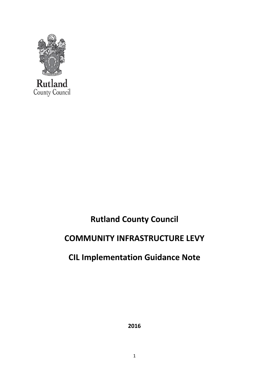

# **Rutland County Council**

# **COMMUNITY INFRASTRUCTURE LEVY**

# **CIL Implementation Guidance Note**

**2016**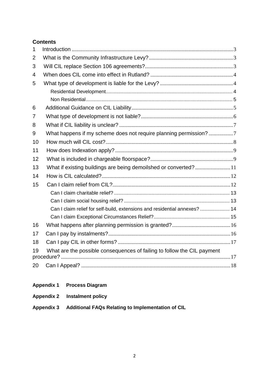## **Contents**

| 1              |                                                                            |  |
|----------------|----------------------------------------------------------------------------|--|
| 2              |                                                                            |  |
| 3              |                                                                            |  |
| $\overline{4}$ |                                                                            |  |
| 5              |                                                                            |  |
|                |                                                                            |  |
|                |                                                                            |  |
| 6              |                                                                            |  |
| 7              |                                                                            |  |
| 8              |                                                                            |  |
| 9              | What happens if my scheme does not require planning permission?7           |  |
| 10             |                                                                            |  |
| 11             |                                                                            |  |
| 12             |                                                                            |  |
| 13             | What if existing buildings are being demoilshed or converted?11            |  |
| 14             |                                                                            |  |
| 15             |                                                                            |  |
|                |                                                                            |  |
|                |                                                                            |  |
|                | Can I claim relief for self-build, extensions and residential annexes?  14 |  |
|                |                                                                            |  |
| 16             |                                                                            |  |
| 17             |                                                                            |  |
| 18             |                                                                            |  |
| 19             | What are the possible consequences of failing to follow the CIL payment    |  |
| 20             |                                                                            |  |

## **Appendix 1 Process Diagram**

| <b>Appendix 2</b> | <b>Instalment policy</b> |
|-------------------|--------------------------|
|-------------------|--------------------------|

## **Appendix 3 Additional FAQs Relating to Implementation of CIL**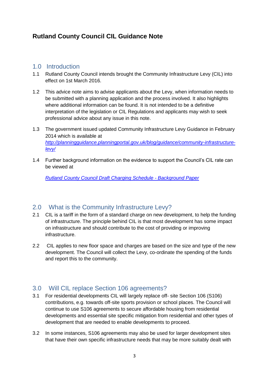# **Rutland County Council CIL Guidance Note**

## <span id="page-2-0"></span>1.0 Introduction

- 1.1 Rutland County Council intends brought the Community Infrastructure Levy (CIL) into effect on 1st March 2016.
- 1.2 This advice note aims to advise applicants about the Levy, when information needs to be submitted with a planning application and the process involved. It also highlights where additional information can be found. It is not intended to be a definitive interpretation of the legislation or CIL Regulations and applicants may wish to seek professional advice about any issue in this note.
- 1.3 The government issued updated Community Infrastructure Levy Guidance in February 2014 which is available at *[http://planningguidance.planningportal.gov.uk/blog/guidance/community-infrastructure](http://planningguidance.planningportal.gov.uk/blog/guidance/community-infrastructure-levy/)[levy/](http://planningguidance.planningportal.gov.uk/blog/guidance/community-infrastructure-levy/)*
- 1.4 Further background information on the evidence to support the Council's CIL rate can be viewed at

*[Rutland County Council Draft Charging Schedule -](http://www.rutland.gov.uk/pdf/CIL%20020%20DCS%20Background%20Paper%202%2015.pdf) Background Paper*

## <span id="page-2-1"></span>2.0 What is the Community Infrastructure Levy?

- 2.1 CIL is a tariff in the form of a standard charge on new development, to help the funding of infrastructure. The principle behind CIL is that most development has some impact on infrastructure and should contribute to the cost of providing or improving infrastructure.
- 2.2 CIL applies to new floor space and charges are based on the size and type of the new development. The Council will collect the Levy, co-ordinate the spending of the funds and report this to the community.

## <span id="page-2-2"></span>3.0 Will CIL replace Section 106 agreements?

- 3.1 For residential developments CIL will largely replace off- site Section 106 (S106) contributions, e.g. towards off-site sports provision or school places. The Council will continue to use S106 agreements to secure affordable housing from residential developments and essential site specific mitigation from residential and other types of development that are needed to enable developments to proceed.
- 3.2 In some instances, S106 agreements may also be used for larger development sites that have their own specific infrastructure needs that may be more suitably dealt with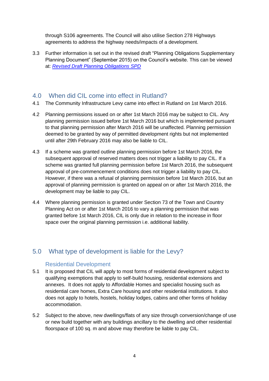through S106 agreements. The Council will also utilise Section 278 Highways agreements to address the highway needs/impacts of a development.

3.3 Further information is set out in the revised draft "Planning Obligations Supplementary Planning Document" (September 2015) on the Council's website. This can be viewed at: *[Revised Draft Planning Obligations SPD](http://www.rutland.gov.uk/pdf/Public%20Consultation%20version%20of%20Revised%20Draft%20SPD%20Planning%20Obligations%2023.09.15.pdf)*

## <span id="page-3-0"></span>4.0 When did CIL come into effect in Rutland?

- 4.1 The Community Infrastructure Levy came into effect in Rutland on 1st March 2016.
- 4.2 Planning permissions issued on or after 1st March 2016 may be subject to CIL. Any planning permission issued before 1st March 2016 but which is implemented pursuant to that planning permission after March 2016 will be unaffected. Planning permission deemed to be granted by way of permitted development rights but not implemented until after 29th February 2016 may also be liable to CIL.
- 4.3 If a scheme was granted outline planning permission before 1st March 2016, the subsequent approval of reserved matters does not trigger a liability to pay CIL. If a scheme was granted full planning permission before 1st March 2016, the subsequent approval of pre-commencement conditions does not trigger a liability to pay CIL. However, if there was a refusal of planning permission before 1st March 2016, but an approval of planning permission is granted on appeal on or after 1st March 2016, the development may be liable to pay CIL.
- 4.4 Where planning permission is granted under Section 73 of the Town and Country Planning Act on or after 1st March 2016 to vary a planning permission that was granted before 1st March 2016, CIL is only due in relation to the increase in floor space over the original planning permission i.e. additional liability.

# <span id="page-3-2"></span><span id="page-3-1"></span>5.0 What type of development is liable for the Levy?

## Residential Development

- 5.1 It is proposed that CIL will apply to most forms of residential development subject to qualifying exemptions that apply to self-build housing, residential extensions and annexes. It does not apply to Affordable Homes and specialist housing such as residential care homes, Extra Care housing and other residential institutions. It also does not apply to hotels, hostels, holiday lodges, cabins and other forms of holiday accommodation.
- 5.2 Subject to the above, new dwellings/flats of any size through conversion/change of use or new build together with any buildings ancillary to the dwelling and other residential floorspace of 100 sq. m and above may therefore be liable to pay CIL.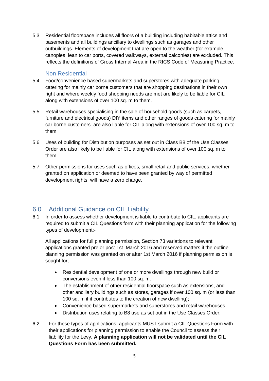5.3 Residential floorspace includes all floors of a building including habitable attics and basements and all buildings ancillary to dwellings such as garages and other outbuildings. Elements of development that are open to the weather (for example, canopies, lean to car ports, covered walkways, external balconies) are excluded. This reflects the definitions of Gross Internal Area in the RICS Code of Measuring Practice.

### Non Residential

- <span id="page-4-0"></span>5.4 Food/convenience based supermarkets and superstores with adequate parking catering for mainly car borne customers that are shopping destinations in their own right and where weekly food shopping needs are met are likely to be liable for CIL along with extensions of over 100 sq. m to them.
- 5.5 Retail warehouses specialising in the sale of household goods (such as carpets, furniture and electrical goods) DIY items and other ranges of goods catering for mainly car borne customers are also liable for CIL along with extensions of over 100 sq. m to them.
- 5.6 Uses of building for Distribution purposes as set out in Class B8 of the Use Classes Order are also likely to be liable for CIL along with extensions of over 100 sq. m to them.
- 5.7 Other permissions for uses such as offices, small retail and public services, whether granted on application or deemed to have been granted by way of permitted development rights, will have a zero charge.

## <span id="page-4-1"></span>6.0 Additional Guidance on CIL Liability

6.1 In order to assess whether development is liable to contribute to CIL, applicants are required to submit a CIL Questions form with their planning application for the following types of development:-

All applications for full planning permission, Section 73 variations to relevant applications granted pre or post 1st March 2016 and reserved matters if the outline planning permission was granted on or after 1st March 2016 if planning permission is sought for;

- Residential development of one or more dwellings through new build or conversions even if less than 100 sq. m.
- The establishment of other residential floorspace such as extensions, and other ancillary buildings such as stores, garages if over 100 sq. m (or less than 100 sq. m if it contributes to the creation of new dwelling);
- Convenience based supermarkets and superstores and retail warehouses.
- Distribution uses relating to B8 use as set out in the Use Classes Order.
- 6.2 For these types of applications, applicants MUST submit a CIL Questions Form with their applications for planning permission to enable the Council to assess their liability for the Levy. **A planning application will not be validated until the CIL Questions Form has been submitted.**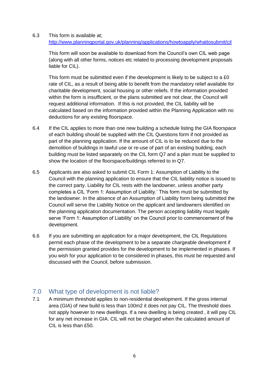6.3 This form is available at; <http://www.planningportal.gov.uk/planning/applications/howtoapply/whattosubmit/cil>

This form will soon be available to download from the Council's own CIL web page (along with all other forms, notices etc related to processing development proposals liable for CIL).

This form must be submitted even if the development is likely to be subject to a £0 rate of CIL, as a result of being able to benefit from the mandatory relief available for charitable development, social housing or other reliefs. If the information provided within the form is insufficient, or the plans submitted are not clear, the Council will request additional information. If this is not provided, the CIL liability will be calculated based on the information provided within the Planning Application with no deductions for any existing floorspace.

- 6.4 If the CIL applies to more than one new building a schedule listing the GIA floorspace of each building should be supplied with the CIL Questions form if not provided as part of the planning application. If the amount of CIL is to be reduced due to the demolition of buildings in lawful use or re-use of part of an existing building, each building must be listed separately on the CIL form Q7 and a plan must be supplied to show the location of the floorspace/buildings referred to in Q7.
- 6.5 Applicants are also asked to submit CIL Form 1: Assumption of Liability to the Council with the planning application to ensure that the CIL liability notice is issued to the correct party. Liability for CIL rests with the landowner, unless another party completes a CIL 'Form 1: Assumption of Liability.' This form must be submitted by the landowner. In the absence of an Assumption of Liability form being submitted the Council will serve the Liability Notice on the applicant and landowners identified on the planning application documentation. The person accepting liability must legally serve 'Form 1: Assumption of Liability' on the Council prior to commencement of the development.
- 6.6 If you are submitting an application for a major development, the CIL Regulations permit each phase of the development to be a separate chargeable development if the permission granted provides for the development to be implemented in phases. If you wish for your application to be considered in phases, this must be requested and discussed with the Council, before submission.

## <span id="page-5-0"></span>7.0 What type of development is not liable?

7.1 A minimum threshold applies to non-residential development. If the gross internal area (GIA) of new build is less than 100m2 it does not pay CIL. The threshold does not apply however to new dwellings. If a new dwelling is being created , it will pay CIL for any net increase in GIA. CIL will not be charged when the calculated amount of CIL is less than £50.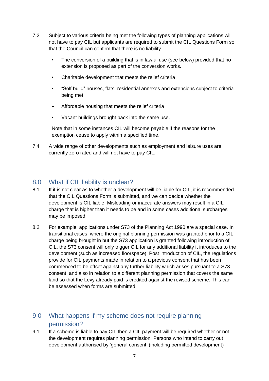- 7.2 Subject to various criteria being met the following types of planning applications will not have to pay CIL but applicants are required to submit the CIL Questions Form so that the Council can confirm that there is no liability.
	- The conversion of a building that is in lawful use (see below) provided that no extension is proposed as part of the conversion works.
	- Charitable development that meets the relief criteria
	- "Self build" houses, flats, residential annexes and extensions subject to criteria being met
	- Affordable housing that meets the relief criteria
	- Vacant buildings brought back into the same use.

Note that in some instances CIL will become payable if the reasons for the exemption cease to apply within a specified time.

7.4 A wide range of other developments such as employment and leisure uses are currently zero rated and will not have to pay CIL.

## <span id="page-6-0"></span>8.0 What if CIL liability is unclear?

- 8.1 If it is not clear as to whether a development will be liable for CIL, it is recommended that the CIL Questions Form is submitted, and we can decide whether the development is CIL liable. Misleading or inaccurate answers may result in a CIL charge that is higher than it needs to be and in some cases additional surcharges may be imposed.
- 8.2 For example, applications under S73 of the Planning Act 1990 are a special case. In transitional cases, where the original planning permission was granted prior to a CIL charge being brought in but the S73 application is granted following introduction of CIL, the S73 consent will only trigger CIL for any additional liability it introduces to the development (such as increased floorspace). Post introduction of CIL, the regulations provide for CIL payments made in relation to a previous consent that has been commenced to be offset against any further liability which arises pursuant to a S73 consent, and also in relation to a different planning permission that covers the same land so that the Levy already paid is credited against the revised scheme. This can be assessed when forms are submitted.

# <span id="page-6-1"></span>9 0 What happens if my scheme does not require planning permission?

9.1 If a scheme is liable to pay CIL then a CIL payment will be required whether or not the development requires planning permission. Persons who intend to carry out development authorised by 'general consent' (including permitted development)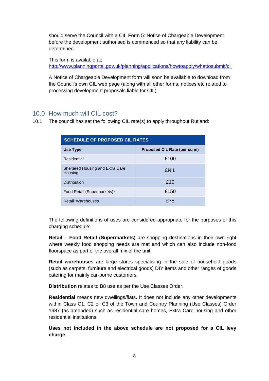should serve the Council with a CIL Form 5: Notice of Chargeable Development before the development authorised is commenced so that any liability can be determined.

This form is available at; <http://www.planningportal.gov.uk/planning/applications/howtoapply/whattosubmit/cil>

A Notice of Chargeable Development form will soon be available to download from the Council's own CIL web page (along with all other forms, notices etc related to processing development proposals liable for CIL).

## <span id="page-7-0"></span>10.0 How much will CIL cost?

10.1 The council has set the following CIL rate(s) to apply throughout Rutland:

| <b>SCHEDULE OF PROPOSED CIL RATES</b>       |                              |  |  |
|---------------------------------------------|------------------------------|--|--|
| Use Type                                    | Proposed CIL Rate (per sq m) |  |  |
| Residential                                 | £100                         |  |  |
| Sheltered Housing and Extra Care<br>Housing | <b>FNII</b>                  |  |  |
| <b>Distribution</b>                         | £10                          |  |  |
| Food Retail (Supermarkets)*                 | £150                         |  |  |
| Retail Warehouses                           | £75                          |  |  |

The following definitions of uses are considered appropriate for the purposes of this charging schedule:

**Retail – Food Retail (Supermarkets)** are shopping destinations in their own right where weekly food shopping needs are met and which can also include non-food floorspace as part of the overall mix of the unit.

**Retail warehouses** are large stores specialising in the sale of household goods (such as carpets, furniture and electrical goods) DIY items and other ranges of goods catering for mainly car-borne customers.

**Distribution** relates to B8 use as per the Use Classes Order.

**Residential** means new dwellings/flats**.** It does not include any other developments within Class C1, C2 or C3 of the Town and Country Planning (Use Classes) Order 1987 (as amended) such as residential care homes, Extra Care housing and other residential institutions.

**Uses not included in the above schedule are not proposed for a CIL levy charge**.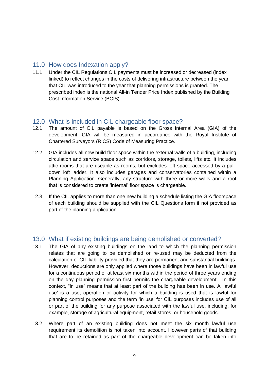## <span id="page-8-0"></span>11.0 How does Indexation apply?

11.1 Under the CIL Regulations CIL payments must be increased or decreased (index linked) to reflect changes in the costs of delivering infrastructure between the year that CIL was introduced to the year that planning permissions is granted. The prescribed index is the national All-in Tender Price Index published by the Building Cost Information Service (BCIS).

## 12.0 What is included in CIL chargeable floor space?

- 12.1 The amount of CIL payable is based on the Gross Internal Area (GIA) of the development. GIA will be measured in accordance with the Royal Institute of Chartered Surveyors (RICS) Code of Measuring Practice.
- 12.2 GIA includes all new build floor space within the external walls of a building, including circulation and service space such as corridors, storage, toilets, lifts etc. It includes attic rooms that are useable as rooms, but excludes loft space accessed by a pulldown loft ladder. It also includes garages and conservatories contained within a Planning Application. Generally, any structure with three or more walls and a roof that is considered to create 'internal' floor space is chargeable.
- 12.3 If the CIL applies to more than one new building a schedule listing the GIA floorspace of each building should be supplied with the CIL Questions form if not provided as part of the planning application.

## <span id="page-8-1"></span>13.0 What if existing buildings are being demolished or converted?

- 13.1 The GIA of any existing buildings on the land to which the planning permission relates that are going to be demolished or re-used may be deducted from the calculation of CIL liability provided that they are permanent and substantial buildings. However, deductions are only applied where those buildings have been in lawful use for a continuous period of at least six months within the period of three years ending on the day planning permission first permits the chargeable development. In this context, "in use" means that at least part of the building has been in use. A 'lawful use' is a use, operation or activity for which a building is used that is lawful for planning control purposes and the term 'in use' for CIL purposes includes use of all or part of the building for any purpose associated with the lawful use, including, for example, storage of agricultural equipment, retail stores, or household goods.
- 13.2 Where part of an existing building does not meet the six month lawful use requirement its demolition is not taken into account. However parts of that building that are to be retained as part of the chargeable development can be taken into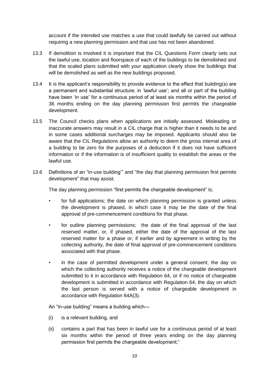account if the intended use matches a use that could lawfully be carried out without requiring a new planning permission and that use has not been abandoned.

- 13.3 If demolition is involved it is important that the CIL Questions Form clearly sets out the lawful use, location and floorspace of each of the buildings to be demolished and that the scaled plans submitted with your application clearly show the buildings that will be demolished as well as the new buildings proposed.
- 13.4 It is the applicant's responsibility to provide evidence to the effect that building(s) are a permanent and substantial structure; in 'lawful use'; and all or part of the building have been 'in use' for a continuous period of at least six months within the period of 36 months ending on the day planning permission first permits the chargeable development.
- 13.5 The Council checks plans when applications are initially assessed. Misleading or inaccurate answers may result in a CIL charge that is higher than it needs to be and in some cases additional surcharges may be imposed. Applicants should also be aware that the CIL Regulations allow an authority to deem the gross internal area of a building to be zero for the purposes of a deduction if it does not have sufficient information or if the information is of insufficient quality to establish the areas or the lawful use.
- 13.6 Definitions of an "in-use building'" and "the day that planning permission first permits development" that may assist.

The day planning permission "first permits the chargeable development" is;

- for full applications; the date on which planning permission is granted unless the development is phased, in which case it may be the date of the final approval of pre-commencement conditions for that phase.
- for outline planning permissions; the date of the final approval of the last reserved matter, or, if phased, either the date of the approval of the last reserved matter for a phase or, if earlier and by agreement in writing by the collecting authority, the date of final approval of pre-commencement conditions associated with that phase.
- in the case of permitted development under a general consent; the day on which the collecting authority receives a notice of the chargeable development submitted to it in accordance with Regulation 64, or if no notice of chargeable development is submitted in accordance with Regulation 64, the day on which the last person is served with a notice of chargeable development in accordance with Regulation 64A(3).

An "in-use building" means a building which—

- (i) is a relevant building, and
- (ii) contains a part that has been in lawful use for a continuous period of at least six months within the period of three years ending on the day planning permission first permits the chargeable development;"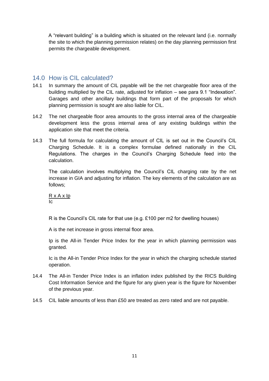A "relevant building" is a building which is situated on the relevant land (i.e. normally the site to which the planning permission relates) on the day planning permission first permits the chargeable development.

## <span id="page-10-0"></span>14.0 How is CIL calculated?

- 14.1 In summary the amount of CIL payable will be the net chargeable floor area of the building multiplied by the CIL rate, adjusted for inflation – see para 9.1 "Indexation". Garages and other ancillary buildings that form part of the proposals for which planning permission is sought are also liable for CIL.
- 14.2 The net chargeable floor area amounts to the gross internal area of the chargeable development less the gross internal area of any existing buildings within the application site that meet the criteria.
- 14.3 The full formula for calculating the amount of CIL is set out in the Council's CIL Charging Schedule. It is a complex formulae defined nationally in the CIL Regulations. The charges in the Council's Charging Schedule feed into the calculation.

The calculation involves multiplying the Council's CIL charging rate by the net increase in GIA and adjusting for inflation. The key elements of the calculation are as follows;

R x A x Ip Ic

R is the Council's CIL rate for that use (e.g. £100 per m2 for dwelling houses)

A is the net increase in gross internal floor area.

Ip is the All-in Tender Price Index for the year in which planning permission was granted.

Ic is the All-in Tender Price Index for the year in which the charging schedule started operation.

- 14.4 The All-in Tender Price Index is an inflation index published by the RICS Building Cost Information Service and the figure for any given year is the figure for November of the previous year.
- 14.5 CIL liable amounts of less than £50 are treated as zero rated and are not payable.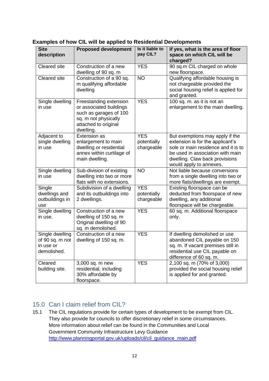| Striph SIL Mill be applied to recruential                      |                                                                                                                                          |                                         |                                                                                                                                                                                                             |  |  |
|----------------------------------------------------------------|------------------------------------------------------------------------------------------------------------------------------------------|-----------------------------------------|-------------------------------------------------------------------------------------------------------------------------------------------------------------------------------------------------------------|--|--|
| <b>Site</b><br>description                                     | <b>Proposed development</b>                                                                                                              | Is it liable to<br>pay CIL?             | If yes, what is the area of floor<br>space on which CIL will be<br>charged?                                                                                                                                 |  |  |
| Cleared site                                                   | Construction of a new<br>dwelling of 90 sq. m                                                                                            | <b>YES</b>                              | 90 sq.m CIL charged on whole<br>new floorspace.                                                                                                                                                             |  |  |
| Cleared site                                                   | Construction of a 90 sq.<br>m qualifying affordable<br>dwelling                                                                          | <b>NO</b>                               | Qualifying affordable housing is<br>not chargeable provided the<br>social housing relief is applied for<br>and granted.                                                                                     |  |  |
| Single dwelling<br>in use                                      | Freestanding extension<br>or associated buildings<br>such as garages of 100<br>sq. m not physically<br>attached to original<br>dwelling. | <b>YES</b>                              | 100 sq. m. as it is not an<br>enlargement to the main dwelling.                                                                                                                                             |  |  |
| Adjacent to<br>single dwelling<br>in use                       | <b>Extension as</b><br>enlargement to main<br>dwelling or residential<br>annex within curtilage of<br>main dwelling.                     | <b>YES</b><br>potentially<br>chargeable | But exemptions may apply if the<br>extension is for the applicant's<br>sole or main residence and it is to<br>be used in association with main<br>dwelling. Claw back provisions<br>would apply to annexes. |  |  |
| Single dwelling<br>in use                                      | Sub-division of existing<br>dwelling into two or more<br>flats with no extensions.                                                       | <b>NO</b>                               | Not liable because conversions<br>from a single dwelling into two or<br>more flats/dwellings are exempt.                                                                                                    |  |  |
| Single<br>dwellings and<br>outbuildings in<br>use              | Subdivision of a dwelling<br>and its outbuildings into<br>2 dwellings.                                                                   | <b>YES</b><br>potentially<br>chargeable | Existing floorspace can be<br>deducted from floorspace of new<br>dwelling, any additional<br>floorspace will be chargeable.                                                                                 |  |  |
| Single dwelling<br>in use.                                     | Construction of a new<br>dwelling of 150 sq. m<br>Original dwelling of 90<br>sq. m demolished.                                           | <b>YES</b>                              | 60 sq. m. Additional floorspace<br>only.                                                                                                                                                                    |  |  |
| Single dwelling<br>of 90 sq. m not<br>in use or<br>demolished. | Construction of a new<br>dwelling of 150 sq. m.                                                                                          | <b>YES</b>                              | If dwelling demolished or use<br>abandoned CIL payable on 150<br>sq. m. If vacant premises still in<br>residential use CIL payable on<br>difference of 60 sq. m.                                            |  |  |
| Cleared<br>building site.                                      | 3,000 sq. m new<br>residential, including<br>30% affordable by<br>floorspace.                                                            | <b>YES</b>                              | 2,100 sq. m (70% of 3,000)<br>provided the social housing relief<br>is applied for and granted.                                                                                                             |  |  |

## <span id="page-11-0"></span>**Examples of how CIL will be applied to Residential Developments**

## <span id="page-11-1"></span>15.0 Can I claim relief from CIL?

15.1 The CIL regulations provide for certain types of development to be exempt from CIL. They also provide for councils to offer discretionary relief in some circumstances. More information about relief can be found in the Communities and Local Government Community Infrastructure Levy Guidance [http://www.planningportal.gov.uk/uploads/cil/cil\\_guidance\\_main.pdf](http://www.planningportal.gov.uk/uploads/cil/cil_guidance_main.pdf)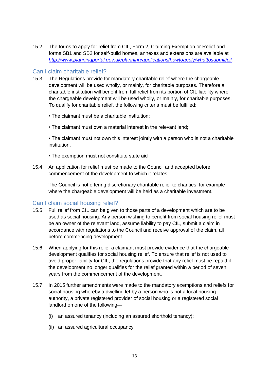15.2 The forms to apply for relief from CIL, Form 2, Claiming Exemption or Relief and forms SB1 and SB2 for self-build homes, annexes and extensions are available at *[http://www.planningportal.gov.uk/planning/applications/howtoapply/whattosubmit/cil.](http://www.planningportal.gov.uk/planning/applications/howtoapply/whattosubmit/cil)*

### <span id="page-12-0"></span>Can I claim charitable relief?

- 15.3 The Regulations provide for mandatory charitable relief where the chargeable development will be used wholly, or mainly, for charitable purposes. Therefore a charitable institution will benefit from full relief from its portion of CIL liability where the chargeable development will be used wholly, or mainly, for charitable purposes. To qualify for charitable relief, the following criteria must be fulfilled:
	- The claimant must be a charitable institution;
	- The claimant must own a material interest in the relevant land;

• The claimant must not own this interest jointly with a person who is not a charitable institution.

- The exemption must not constitute state aid
- 15.4 An application for relief must be made to the Council and accepted before commencement of the development to which it relates.

The Council is not offering discretionary charitable relief to charities, for example where the chargeable development will be held as a charitable investment.

#### <span id="page-12-1"></span>Can I claim social housing relief?

- 15.5 Full relief from CIL can be given to those parts of a development which are to be used as social housing. Any person wishing to benefit from social housing relief must be an owner of the relevant land, assume liability to pay CIL, submit a claim in accordance with regulations to the Council and receive approval of the claim, all before commencing development.
- 15.6 When applying for this relief a claimant must provide evidence that the chargeable development qualifies for social housing relief. To ensure that relief is not used to avoid proper liability for CIL, the regulations provide that any relief must be repaid if the development no longer qualifies for the relief granted within a period of seven years from the commencement of the development.
- 15.7 In 2015 further amendments were made to the mandatory exemptions and reliefs for social housing whereby a dwelling let by a person who is not a local housing authority, a private registered provider of social housing or a registered social landlord on one of the following—
	- (i) an assured tenancy (including an assured shorthold tenancy);
	- (ii) an assured agricultural occupancy;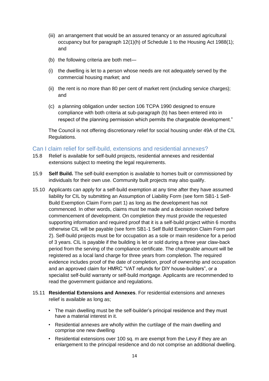- (iii) an arrangement that would be an assured tenancy or an assured agricultural occupancy but for paragraph 12(1)(h) of Schedule 1 to the Housing Act 1988(1); and
- (b) the following criteria are both met—
- (i) the dwelling is let to a person whose needs are not adequately served by the commercial housing market; and
- (ii) the rent is no more than 80 per cent of market rent (including service charges); and
- (c) a planning obligation under section 106 TCPA 1990 designed to ensure compliance with both criteria at sub-paragraph (b) has been entered into in respect of the planning permission which permits the chargeable development."

The Council is not offering discretionary relief for social housing under 49A of the CIL Regulations.

### <span id="page-13-0"></span>Can I claim relief for self-build, extensions and residential annexes?

- 15.8 Relief is available for self-build projects, residential annexes and residential extensions subject to meeting the legal requirements.
- 15.9 **Self Build.** The self-build exemption is available to homes built or commissioned by individuals for their own use. Community built projects may also qualify.
- 15.10 Applicants can apply for a self-build exemption at any time after they have assumed liability for CIL by submitting an Assumption of Liability Form (see form SB1-1 Self-Build Exemption Claim Form part 1) as long as the development has not commenced. In other words, claims must be made and a decision received before commencement of development. On completion they must provide the requested supporting information and required proof that it is a self-build project within 6 months otherwise CIL will be payable (see form SB1-1 Self Build Exemption Claim Form part 2). Self-build projects must be for occupation as a sole or main residence for a period of 3 years. CIL is payable if the building is let or sold during a three year claw-back period from the serving of the compliance certificate. The chargeable amount will be registered as a local land charge for three years from completion. The required evidence includes proof of the date of completion, proof of ownership and occupation and an approved claim for HMRC "VAT refunds for DIY house-builders", or a specialist self-build warranty or self-build mortgage. Applicants are recommended to read the government guidance and regulations.
- 15.11 **Residential Extensions and Annexes**. For residential extensions and annexes relief is available as long as;
	- The main dwelling must be the self-builder's principal residence and they must have a material interest in it.
	- Residential annexes are wholly within the curtilage of the main dwelling and comprise one new dwelling
	- Residential extensions over 100 sq. m are exempt from the Levy if they are an enlargement to the principal residence and do not comprise an additional dwelling.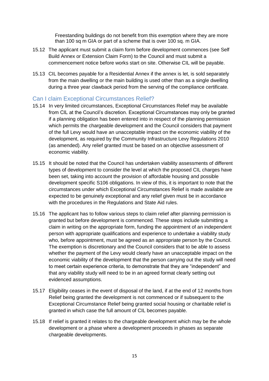Freestanding buildings do not benefit from this exemption where they are more than 100 sq m GIA or part of a scheme that is over 100 sq. m GIA.

- 15.12 The applicant must submit a claim form before development commences (see Self Build Annex or Extension Claim Form) to the Council and must submit a commencement notice before works start on site. Otherwise CIL will be payable.
- 15.13 CIL becomes payable for a Residential Annex if the annex is let, is sold separately from the main dwelling or the main building is used other than as a single dwelling during a three year clawback period from the serving of the compliance certificate.

### <span id="page-14-0"></span>Can I claim Exceptional Circumstances Relief?

- 15.14 In very limited circumstances, Exceptional Circumstances Relief may be available from CIL at the Council's discretion. Exceptional Circumstances may only be granted if a planning obligation has been entered into in respect of the planning permission which permits the chargeable development and the Council considers that payment of the full Levy would have an unacceptable impact on the economic viability of the development, as required by the Community Infrastructure Levy Regulations 2010 (as amended). Any relief granted must be based on an objective assessment of economic viability.
- 15.15 It should be noted that the Council has undertaken viability assessments of different types of development to consider the level at which the proposed CIL charges have been set, taking into account the provision of affordable housing and possible development specific S106 obligations. In view of this, it is important to note that the circumstances under which Exceptional Circumstances Relief is made available are expected to be genuinely exceptional and any relief given must be in accordance with the procedures in the Regulations and State Aid rules.
- 15.16 The applicant has to follow various steps to claim relief after planning permission is granted but before development is commenced. These steps include submitting a claim in writing on the appropriate form, funding the appointment of an independent person with appropriate qualifications and experience to undertake a viability study who, before appointment, must be agreed as an appropriate person by the Council. The exemption is discretionary and the Council considers that to be able to assess whether the payment of the Levy would clearly have an unacceptable impact on the economic viability of the development that the person carrying out the study will need to meet certain experience criteria, to demonstrate that they are "independent" and that any viability study will need to be in an agreed format clearly setting out evidenced assumptions.
- 15.17 Eligibility ceases in the event of disposal of the land, if at the end of 12 months from Relief being granted the development is not commenced or if subsequent to the Exceptional Circumstance Relief being granted social housing or charitable relief is granted in which case the full amount of CIL becomes payable.
- 15.18 If relief is granted it relates to the chargeable development which may be the whole development or a phase where a development proceeds in phases as separate chargeable developments.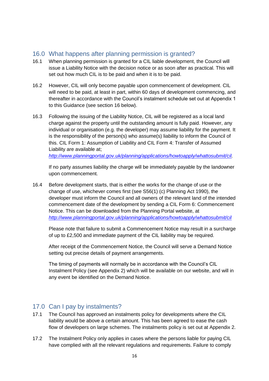## <span id="page-15-0"></span>16.0 What happens after planning permission is granted?

- 16.1 When planning permission is granted for a CIL liable development, the Council will issue a Liability Notice with the decision notice or as soon after as practical. This will set out how much CIL is to be paid and when it is to be paid.
- 16.2 However, CIL will only become payable upon commencement of development. CIL will need to be paid, at least in part, within 60 days of development commencing, and thereafter in accordance with the Council's instalment schedule set out at Appendix 1 to this Guidance (see section 16 below).
- 16.3 Following the issuing of the Liability Notice, CIL will be registered as a local land charge against the property until the outstanding amount is fully paid. However, any individual or organisation (e.g. the developer) may assume liability for the payment. It is the responsibility of the person(s) who assume(s) liability to inform the Council of this. CIL Form 1: Assumption of Liability and CIL Form 4: Transfer of Assumed Liability are available at;

*[http://www.planningportal.gov.uk/planning/applications/howtoapply/whattosubmit/cil.](http://www.planningportal.gov.uk/planning/applications/howtoapply/whattosubmit/cil)*

If no party assumes liability the charge will be immediately payable by the landowner upon commencement.

16.4 Before development starts, that is either the works for the change of use or the change of use, whichever comes first (see S56(1) (c) Planning Act 1990), the developer must inform the Council and all owners of the relevant land of the intended commencement date of the development by sending a CIL Form 6: Commencement Notice. This can be downloaded from the Planning Portal website, at *<http://www.planningportal.gov.uk/planning/applications/howtoapply/whattosubmit/cil>*

Please note that failure to submit a Commencement Notice may result in a surcharge of up to £2,500 and immediate payment of the CIL liability may be required.

After receipt of the Commencement Notice, the Council will serve a Demand Notice setting out precise details of payment arrangements.

The timing of payments will normally be in accordance with the Council's CIL Instalment Policy (see Appendix 2) which will be available on our website, and will in any event be identified on the Demand Notice.

## <span id="page-15-1"></span>17.0 Can I pay by instalments?

- 17.1 The Council has approved an instalments policy for developments where the CIL liability would be above a certain amount. This has been agreed to ease the cash flow of developers on large schemes. The instalments policy is set out at Appendix 2.
- 17.2 The Instalment Policy only applies in cases where the persons liable for paying CIL have complied with all the relevant regulations and requirements. Failure to comply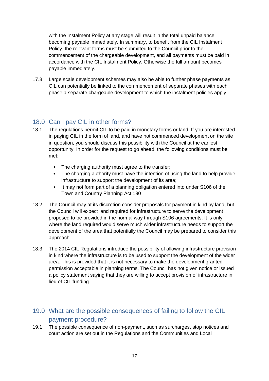with the Instalment Policy at any stage will result in the total unpaid balance becoming payable immediately. In summary, to benefit from the CIL Instalment Policy, the relevant forms must be submitted to the Council prior to the commencement of the chargeable development, and all payments must be paid in accordance with the CIL Instalment Policy. Otherwise the full amount becomes payable immediately.

17.3 Large scale development schemes may also be able to further phase payments as CIL can potentially be linked to the commencement of separate phases with each phase a separate chargeable development to which the instalment policies apply.

# <span id="page-16-0"></span>18.0 Can I pay CIL in other forms?

- 18.1 The regulations permit CIL to be paid in monetary forms or land. If you are interested in paying CIL in the form of land, and have not commenced development on the site in question, you should discuss this possibility with the Council at the earliest opportunity. In order for the request to go ahead, the following conditions must be met:
	- The charging authority must agree to the transfer;
	- The charging authority must have the intention of using the land to help provide infrastructure to support the development of its area;
	- It may not form part of a planning obligation entered into under S106 of the Town and Country Planning Act 190
- 18.2 The Council may at its discretion consider proposals for payment in kind by land, but the Council will expect land required for infrastructure to serve the development proposed to be provided in the normal way through S106 agreements. It is only where the land required would serve much wider infrastructure needs to support the development of the area that potentially the Council may be prepared to consider this approach.
- 18.3 The 2014 CIL Regulations introduce the possibility of allowing infrastructure provision in kind where the infrastructure is to be used to support the development of the wider area. This is provided that it is not necessary to make the development granted permission acceptable in planning terms. The Council has not given notice or issued a policy statement saying that they are willing to accept provision of infrastructure in lieu of CIL funding.

# <span id="page-16-1"></span>19.0 What are the possible consequences of failing to follow the CIL payment procedure?

19.1 The possible consequence of non-payment, such as surcharges, stop notices and court action are set out in the Regulations and the Communities and Local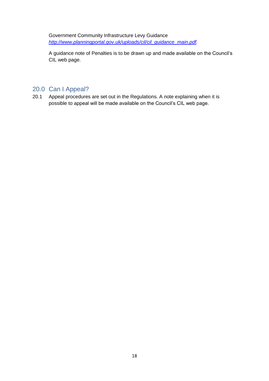Government Community Infrastructure Levy Guidance *[http://www.planningportal.gov.uk/uploads/cil/cil\\_guidance\\_main.pdf.](http://www.planningportal.gov.uk/uploads/cil/cil_guidance_main.pdf)* 

A guidance note of Penalties is to be drawn up and made available on the Council's CIL web page.

# <span id="page-17-0"></span>20.0 Can I Appeal?

20.1 Appeal procedures are set out in the Regulations. A note explaining when it is possible to appeal will be made available on the Council's CIL web page.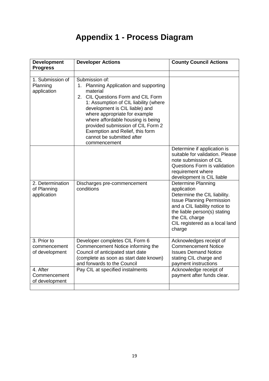# **Appendix 1 - Process Diagram**

| <b>Development</b><br><b>Progress</b>          | <b>Developer Actions</b>                                                                                                                                                                                                                                                                                                                                                         | <b>County Council Actions</b>                                                                                                                                                                                                               |  |
|------------------------------------------------|----------------------------------------------------------------------------------------------------------------------------------------------------------------------------------------------------------------------------------------------------------------------------------------------------------------------------------------------------------------------------------|---------------------------------------------------------------------------------------------------------------------------------------------------------------------------------------------------------------------------------------------|--|
|                                                |                                                                                                                                                                                                                                                                                                                                                                                  |                                                                                                                                                                                                                                             |  |
| 1. Submission of<br>Planning<br>application    | Submission of:<br>1. Planning Application and supporting<br>material<br>2. CIL Questions Form and CIL Form<br>1: Assumption of CIL liability (where<br>development is CIL liable) and<br>where appropriate for example<br>where affordable housing is being<br>provided submission of CIL Form 2<br>Exemption and Relief, this form<br>cannot be submitted after<br>commencement |                                                                                                                                                                                                                                             |  |
|                                                |                                                                                                                                                                                                                                                                                                                                                                                  | Determine if application is<br>suitable for validation. Please<br>note submission of CIL<br>Questions Form is validation<br>requirement where<br>development is CIL liable                                                                  |  |
| 2. Determination<br>of Planning<br>application | Discharges pre-commencement<br>conditions                                                                                                                                                                                                                                                                                                                                        | <b>Determine Planning</b><br>application<br>Determine the CIL liability.<br><b>Issue Planning Permission</b><br>and a CIL liability notice to<br>the liable person(s) stating<br>the CIL charge<br>CIL registered as a local land<br>charge |  |
| 3. Prior to<br>commencement<br>of development  | Developer completes CIL Form 6<br>Commencement Notice informing the<br>Council of anticipated start date<br>(complete as soon as start date known)<br>and forwards to the Council                                                                                                                                                                                                | Acknowledges receipt of<br><b>Commencement Notice</b><br><b>Issues Demand Notice</b><br>stating CIL charge and<br>payment instructions                                                                                                      |  |
| 4. After<br>Commencement<br>of development     | Pay CIL at specified instalments                                                                                                                                                                                                                                                                                                                                                 | Acknowledge receipt of<br>payment after funds clear.                                                                                                                                                                                        |  |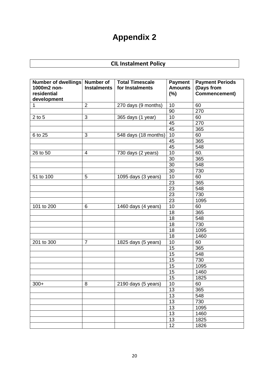# **Appendix 2**

# **CIL Instalment Policy**

| Number of dwellings Number of<br>1000m2 non-<br>residential<br>development | <b>Instalments</b> | <b>Total Timescale</b><br>for Instalments | <b>Payment</b><br><b>Amounts</b><br>$(\%)$ | <b>Payment Periods</b><br>(Days from<br>Commencement) |
|----------------------------------------------------------------------------|--------------------|-------------------------------------------|--------------------------------------------|-------------------------------------------------------|
| $\mathbf{1}$                                                               | $\overline{2}$     | 270 days (9 months)                       | 10                                         | 60                                                    |
|                                                                            |                    |                                           | 90                                         | 270                                                   |
| $2$ to $5$                                                                 | $\mathfrak{B}$     | 365 days (1 year)                         | 10                                         | 60                                                    |
|                                                                            |                    |                                           | 45                                         | 270                                                   |
|                                                                            |                    |                                           | 45                                         | 365                                                   |
| 6 to 25                                                                    | 3                  | 548 days (18 months)                      | 10                                         | 60                                                    |
|                                                                            |                    |                                           | 45                                         | 365                                                   |
|                                                                            |                    |                                           | 45                                         | 548                                                   |
| 26 to 50                                                                   | $\overline{4}$     | 730 days (2 years)                        | 10                                         | 60.                                                   |
|                                                                            |                    |                                           | 30                                         | 365                                                   |
|                                                                            |                    |                                           | 30                                         | 548                                                   |
|                                                                            |                    |                                           | 30                                         | 730                                                   |
| 51 to 100                                                                  | 5                  | 1095 days (3 years)                       | 10                                         | 60                                                    |
|                                                                            |                    |                                           | 23                                         | 365                                                   |
|                                                                            |                    |                                           | 23                                         | 548                                                   |
|                                                                            |                    |                                           | $\overline{23}$                            | 730                                                   |
|                                                                            |                    |                                           | 23                                         | 1095                                                  |
| 101 to 200                                                                 | 6                  | 1460 days (4 years)                       | 10                                         | 60                                                    |
|                                                                            |                    |                                           | 18                                         | 365                                                   |
|                                                                            |                    |                                           | 18                                         | 548                                                   |
|                                                                            |                    |                                           | 18                                         | 730                                                   |
|                                                                            |                    |                                           | 18                                         | 1095                                                  |
|                                                                            |                    |                                           | 18                                         | 1460                                                  |
| 201 to 300                                                                 | $\overline{7}$     | 1825 days (5 years)                       | 10                                         | 60                                                    |
|                                                                            |                    |                                           | 15                                         | 365                                                   |
|                                                                            |                    |                                           | 15                                         | 548                                                   |
|                                                                            |                    |                                           | 15                                         | 730                                                   |
|                                                                            |                    |                                           | 15                                         | 1095                                                  |
|                                                                            |                    |                                           | 15                                         | 1460                                                  |
|                                                                            |                    |                                           | 15                                         | 1825                                                  |
| $300+$                                                                     | 8                  | 2190 days (5 years)                       | 10                                         | 60                                                    |
|                                                                            |                    |                                           | 13                                         | 365                                                   |
|                                                                            |                    |                                           | 13                                         | 548                                                   |
|                                                                            |                    |                                           | 13                                         | 730                                                   |
|                                                                            |                    |                                           | 13                                         | 1095                                                  |
|                                                                            |                    |                                           | 13                                         | 1460                                                  |
|                                                                            |                    |                                           | $\overline{13}$                            | 1825                                                  |
|                                                                            |                    |                                           | 12                                         | 1826                                                  |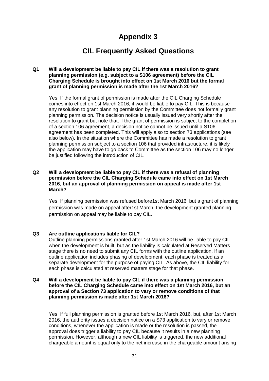# **Appendix 3**

# **CIL Frequently Asked Questions**

#### **Q1 Will a development be liable to pay CIL if there was a resolution to grant planning permission (e.g. subject to a S106 agreement) before the CIL Charging Schedule is brought into effect on 1st March 2016 but the formal grant of planning permission is made after the 1st March 2016?**

Yes. If the formal grant of permission is made after the CIL Charging Schedule comes into effect on 1st March 2016, it would be liable to pay CIL. This is because any resolution to grant planning permission by the Committee does not formally grant planning permission. The decision notice is usually issued very shortly after the resolution to grant but note that, if the grant of permission is subject to the completion of a section 106 agreement, a decision notice cannot be issued until a S106 agreement has been completed. This will apply also to section 73 applications (see also below). In the situation where the Committee has made a resolution to grant planning permission subject to a section 106 that provided infrastructure, it is likely the application may have to go back to Committee as the section 106 may no longer be justified following the introduction of CIL.

#### **Q2 Will a development be liable to pay CIL if there was a refusal of planning permission before the CIL Charging Schedule came into effect on 1st March 2016, but an approval of planning permission on appeal is made after 1st March?**

Yes. If planning permission was refused before1st March 2016, but a grant of planning permission was made on appeal after1st March, the development granted planning permission on appeal may be liable to pay CIL.

#### **Q3 Are outline applications liable for CIL?**

Outline planning permissions granted after 1st March 2016 will be liable to pay CIL when the development is built, but as the liability is calculated at Reserved Matters stage there is no need to submit any CIL forms with the outline application. If an outline application includes phasing of development, each phase is treated as a separate development for the purpose of paying CIL. As above, the CIL liability for each phase is calculated at reserved matters stage for that phase.

#### **Q4 Will a development be liable to pay CIL if there was a planning permission before the CIL Charging Schedule came into effect on 1st March 2016, but an approval of a Section 73 application to vary or remove conditions of that planning permission is made after 1st March 2016?**

Yes. If full planning permission is granted before 1st March 2016, but, after 1st March 2016, the authority issues a decision notice on a S73 application to vary or remove conditions, whenever the application is made or the resolution is passed, the approval does trigger a liability to pay CIL because it results in a new planning permission. However, although a new CIL liability is triggered, the new additional chargeable amount is equal only to the net increase in the chargeable amount arising